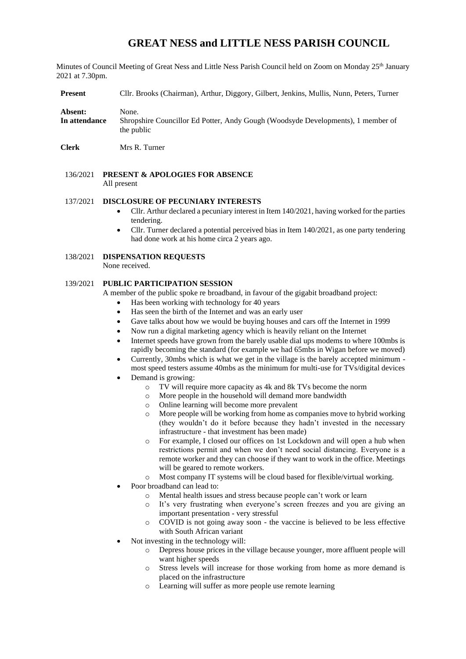# **GREAT NESS and LITTLE NESS PARISH COUNCIL**

Minutes of Council Meeting of Great Ness and Little Ness Parish Council held on Zoom on Monday 25<sup>th</sup> January 2021 at 7.30pm.

**Present** Cllr. Brooks (Chairman), Arthur, Diggory, Gilbert, Jenkins, Mullis, Nunn, Peters, Turner

| Absent:       | None.                                                                            |
|---------------|----------------------------------------------------------------------------------|
| In attendance | Shropshire Councillor Ed Potter, Andy Gough (Woodsyde Developments), 1 member of |
|               | the public                                                                       |

- **Clerk** Mrs R. Turner
- 136/2021 **PRESENT & APOLOGIES FOR ABSENCE**  All present

#### 137/2021 **DISCLOSURE OF PECUNIARY INTERESTS**

- Cllr. Arthur declared a pecuniary interest in Item 140/2021, having worked for the parties tendering.
- Cllr. Turner declared a potential perceived bias in Item 140/2021, as one party tendering had done work at his home circa 2 years ago.

# 138/2021 **DISPENSATION REQUESTS**

None received.

# 139/2021 **PUBLIC PARTICIPATION SESSION**

A member of the public spoke re broadband, in favour of the gigabit broadband project:

- Has been working with technology for 40 years
- Has seen the birth of the Internet and was an early user
- Gave talks about how we would be buying houses and cars off the Internet in 1999
- Now run a digital marketing agency which is heavily reliant on the Internet
- Internet speeds have grown from the barely usable dial ups modems to where 100mbs is rapidly becoming the standard (for example we had 65mbs in Wigan before we moved)
- Currently, 30mbs which is what we get in the village is the barely accepted minimum most speed testers assume 40mbs as the minimum for multi-use for TVs/digital devices
- Demand is growing:
	- o TV will require more capacity as 4k and 8k TVs become the norm
	- o More people in the household will demand more bandwidth
	- o Online learning will become more prevalent
	- o More people will be working from home as companies move to hybrid working (they wouldn't do it before because they hadn't invested in the necessary infrastructure - that investment has been made)
	- For example, I closed our offices on 1st Lockdown and will open a hub when restrictions permit and when we don't need social distancing. Everyone is a remote worker and they can choose if they want to work in the office. Meetings will be geared to remote workers.
	- o Most company IT systems will be cloud based for flexible/virtual working.
- Poor broadband can lead to:
	- o Mental health issues and stress because people can't work or learn
	- o It's very frustrating when everyone's screen freezes and you are giving an important presentation - very stressful
	- o COVID is not going away soon the vaccine is believed to be less effective with South African variant
- Not investing in the technology will:
	- o Depress house prices in the village because younger, more affluent people will want higher speeds
	- o Stress levels will increase for those working from home as more demand is placed on the infrastructure
	- o Learning will suffer as more people use remote learning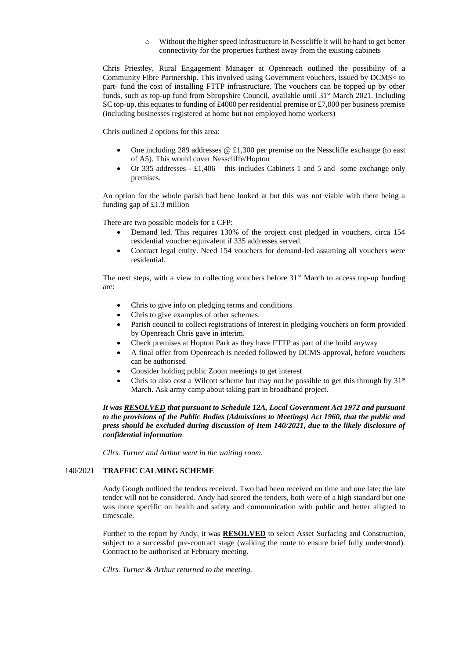Without the higher speed infrastructure in Nesscliffe it will be hard to get better connectivity for the properties furthest away from the existing cabinets

Chris Priestley, Rural Engagement Manager at Openreach outlined the possibility of a Community Fibre Partnership. This involved using Government vouchers, issued by DCMS< to part- fund the cost of installing FTTP infrastructure. The vouchers can be topped up by other funds, such as top-up fund from Shropshire Council, available until 31<sup>st</sup> March 2021. Including SC top-up, this equates to funding of £4000 per residential premise or £7,000 per business premise (including businesses registered at home but not employed home workers)

Chris outlined 2 options for this area:

- One including 289 addresses @ £1,300 per premise on the Nesscliffe exchange (to east of A5). This would cover Nesscliffe/Hopton
- Or 335 addresses £1,406 this includes Cabinets 1 and 5 and some exchange only premises.

An option for the whole parish had bene looked at but this was not viable with there being a funding gap of £1.3 million

There are two possible models for a CFP:

- Demand led. This requires 130% of the project cost pledged in vouchers, circa 154 residential voucher equivalent if 335 addresses served.
- Contract legal entity. Need 154 vouchers for demand-led assuming all vouchers were residential.

The next steps, with a view to collecting vouchers before  $31<sup>st</sup>$  March to access top-up funding are:

- Chris to give info on pledging terms and conditions
- Chris to give examples of other schemes.
- Parish council to collect registrations of interest in pledging vouchers on form provided by Openreach Chris gave in interim.
- Check premises at Hopton Park as they have FTTP as part of the build anyway
- A final offer from Openreach is needed followed by DCMS approval, before vouchers can be authorised
- Consider holding public Zoom meetings to get interest
- Chris to also cost a Wilcott scheme but may not be possible to get this through by  $31<sup>st</sup>$ March. Ask army camp about taking part in broadband project.

*It was RESOLVED that pursuant to Schedule 12A, Local Government Act 1972 and pursuant to the provisions of the Public Bodies (Admissions to Meetings) Act 1960, that the public and press should be excluded during discussion of Item 140/2021, due to the likely disclosure of confidential information*

*Cllrs. Turner and Arthur went in the waiting room.*

## 140/2021 **TRAFFIC CALMING SCHEME**

Andy Gough outlined the tenders received. Two had been received on time and one late; the late tender will not be considered. Andy had scored the tenders, both were of a high standard but one was more specific on health and safety and communication with public and better aligned to timescale.

Further to the report by Andy, it was **RESOLVED** to select Asset Surfacing and Construction, subject to a successful pre-contract stage (walking the route to ensure brief fully understood). Contract to be authorised at February meeting.

*Cllrs. Turner & Arthur returned to the meeting.*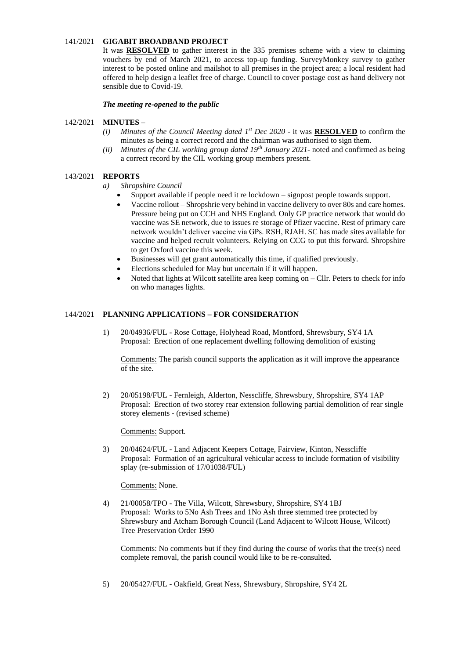# 141/2021 **GIGABIT BROADBAND PROJECT**

It was **RESOLVED** to gather interest in the 335 premises scheme with a view to claiming vouchers by end of March 2021, to access top-up funding. SurveyMonkey survey to gather interest to be posted online and mailshot to all premises in the project area; a local resident had offered to help design a leaflet free of charge. Council to cover postage cost as hand delivery not sensible due to Covid-19.

*The meeting re-opened to the public*

## 142/2021 **MINUTES** –

- *(i) Minutes of the Council Meeting dated*  $1^{st}$  *Dec 2020 it was RESOLVED to confirm the* minutes as being a correct record and the chairman was authorised to sign them.
- *(ii) Minutes of the CIL working group dated 19th January 2021-* noted and confirmed as being a correct record by the CIL working group members present.

## 143/2021 **REPORTS**

- *a) Shropshire Council* 
	- Support available if people need it re lockdown signpost people towards support.
	- Vaccine rollout Shropshrie very behind in vaccine delivery to over 80s and care homes. Pressure being put on CCH and NHS England. Only GP practice network that would do vaccine was SE network, due to issues re storage of Pfizer vaccine. Rest of primary care network wouldn't deliver vaccine via GPs. RSH, RJAH. SC has made sites available for vaccine and helped recruit volunteers. Relying on CCG to put this forward. Shropshire to get Oxford vaccine this week.
	- Businesses will get grant automatically this time, if qualified previously.
	- Elections scheduled for May but uncertain if it will happen.
	- Noted that lights at Wilcott satellite area keep coming on Cllr. Peters to check for info on who manages lights.

#### 144/2021 **PLANNING APPLICATIONS – FOR CONSIDERATION**

1) 20/04936/FUL - Rose Cottage, Holyhead Road, Montford, Shrewsbury, SY4 1A Proposal: Erection of one replacement dwelling following demolition of existing

Comments: The parish council supports the application as it will improve the appearance of the site.

2) 20/05198/FUL - Fernleigh, Alderton, Nesscliffe, Shrewsbury, Shropshire, SY4 1AP Proposal: Erection of two storey rear extension following partial demolition of rear single storey elements - (revised scheme)

Comments: Support.

3) 20/04624/FUL - Land Adjacent Keepers Cottage, Fairview, Kinton, Nesscliffe Proposal: Formation of an agricultural vehicular access to include formation of visibility splay (re-submission of 17/01038/FUL)

Comments: None.

4) 21/00058/TPO - The Villa, Wilcott, Shrewsbury, Shropshire, SY4 1BJ Proposal: Works to 5No Ash Trees and 1No Ash three stemmed tree protected by Shrewsbury and Atcham Borough Council (Land Adjacent to Wilcott House, Wilcott) Tree Preservation Order 1990

Comments: No comments but if they find during the course of works that the tree(s) need complete removal, the parish council would like to be re-consulted.

5) 20/05427/FUL - Oakfield, Great Ness, Shrewsbury, Shropshire, SY4 2L